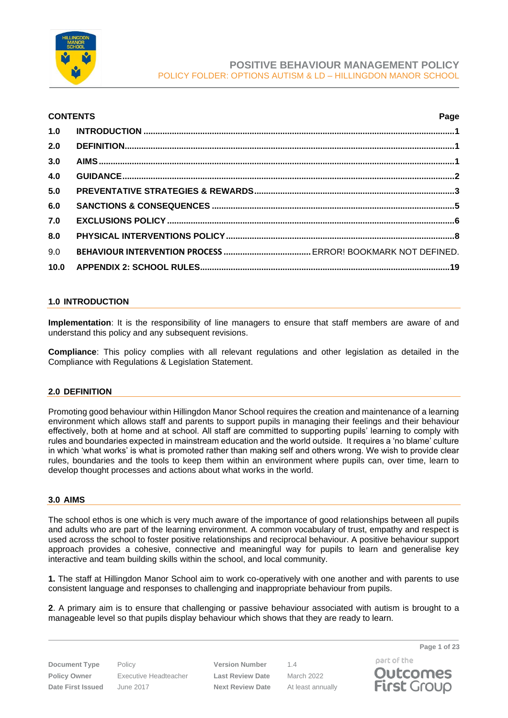

#### **CONTENTS Page**

| 1.0  |  |
|------|--|
| 2.0  |  |
| 3.0  |  |
| 4.0  |  |
| 5.0  |  |
| 6.0  |  |
| 7.0  |  |
| 8.0  |  |
| 9.0  |  |
| 10.0 |  |

#### <span id="page-0-0"></span>**1.0 INTRODUCTION**

**Implementation**: It is the responsibility of line managers to ensure that staff members are aware of and understand this policy and any subsequent revisions.

**Compliance**: This policy complies with all relevant regulations and other legislation as detailed in the Compliance with Regulations & Legislation Statement.

#### <span id="page-0-1"></span>**2.0 DEFINITION**

Promoting good behaviour within Hillingdon Manor School requires the creation and maintenance of a learning environment which allows staff and parents to support pupils in managing their feelings and their behaviour effectively, both at home and at school. All staff are committed to supporting pupils' learning to comply with rules and boundaries expected in mainstream education and the world outside. It requires a 'no blame' culture in which 'what works' is what is promoted rather than making self and others wrong. We wish to provide clear rules, boundaries and the tools to keep them within an environment where pupils can, over time, learn to develop thought processes and actions about what works in the world.

#### <span id="page-0-2"></span>**3.0 AIMS**

The school ethos is one which is very much aware of the importance of good relationships between all pupils and adults who are part of the learning environment. A common vocabulary of trust, empathy and respect is used across the school to foster positive relationships and reciprocal behaviour. A positive behaviour support approach provides a cohesive, connective and meaningful way for pupils to learn and generalise key interactive and team building skills within the school, and local community.

**1.** The staff at Hillingdon Manor School aim to work co-operatively with one another and with parents to use consistent language and responses to challenging and inappropriate behaviour from pupils.

**2**. A primary aim is to ensure that challenging or passive behaviour associated with autism is brought to a manageable level so that pupils display behaviour which shows that they are ready to learn.

**Document Type** Policy **Version Number** 1.4 **Policy Owner** Executive Headteacher **Last Review Date** March 2022 **Date First Issued** June 2017 **Next Review Date** At least annually

**Page 1 of 23**

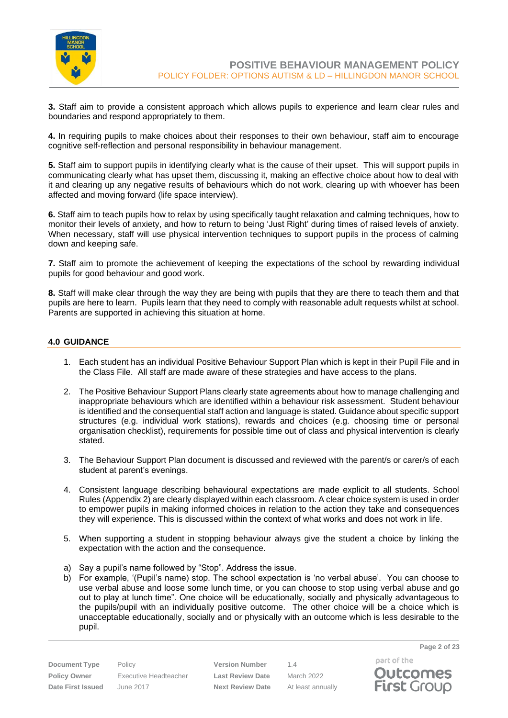

**3.** Staff aim to provide a consistent approach which allows pupils to experience and learn clear rules and boundaries and respond appropriately to them.

**4.** In requiring pupils to make choices about their responses to their own behaviour, staff aim to encourage cognitive self-reflection and personal responsibility in behaviour management.

**5.** Staff aim to support pupils in identifying clearly what is the cause of their upset. This will support pupils in communicating clearly what has upset them, discussing it, making an effective choice about how to deal with it and clearing up any negative results of behaviours which do not work, clearing up with whoever has been affected and moving forward (life space interview).

**6.** Staff aim to teach pupils how to relax by using specifically taught relaxation and calming techniques, how to monitor their levels of anxiety, and how to return to being 'Just Right' during times of raised levels of anxiety. When necessary, staff will use physical intervention techniques to support pupils in the process of calming down and keeping safe.

**7.** Staff aim to promote the achievement of keeping the expectations of the school by rewarding individual pupils for good behaviour and good work.

**8.** Staff will make clear through the way they are being with pupils that they are there to teach them and that pupils are here to learn. Pupils learn that they need to comply with reasonable adult requests whilst at school. Parents are supported in achieving this situation at home.

#### <span id="page-1-0"></span>**4.0 GUIDANCE**

- 1. Each student has an individual Positive Behaviour Support Plan which is kept in their Pupil File and in the Class File. All staff are made aware of these strategies and have access to the plans.
- 2. The Positive Behaviour Support Plans clearly state agreements about how to manage challenging and inappropriate behaviours which are identified within a behaviour risk assessment. Student behaviour is identified and the consequential staff action and language is stated. Guidance about specific support structures (e.g. individual work stations), rewards and choices (e.g. choosing time or personal organisation checklist), requirements for possible time out of class and physical intervention is clearly stated.
- 3. The Behaviour Support Plan document is discussed and reviewed with the parent/s or carer/s of each student at parent's evenings.
- 4. Consistent language describing behavioural expectations are made explicit to all students. School Rules (Appendix 2) are clearly displayed within each classroom. A clear choice system is used in order to empower pupils in making informed choices in relation to the action they take and consequences they will experience. This is discussed within the context of what works and does not work in life.
- 5. When supporting a student in stopping behaviour always give the student a choice by linking the expectation with the action and the consequence.
- a) Say a pupil's name followed by "Stop". Address the issue.
- b) For example, '(Pupil's name) stop. The school expectation is 'no verbal abuse'. You can choose to use verbal abuse and loose some lunch time, or you can choose to stop using verbal abuse and go out to play at lunch time". One choice will be educationally, socially and physically advantageous to the pupils/pupil with an individually positive outcome. The other choice will be a choice which is unacceptable educationally, socially and or physically with an outcome which is less desirable to the pupil.

**Policy Owner** Executive Headteacher **Last Review Date** March 2022 **Date First Issued** June 2017 **Next Review Date** At least annually

**Document Type** Policy **Version Number** 1.4

part of the **Outcomes First Group** 

**Page 2 of 23**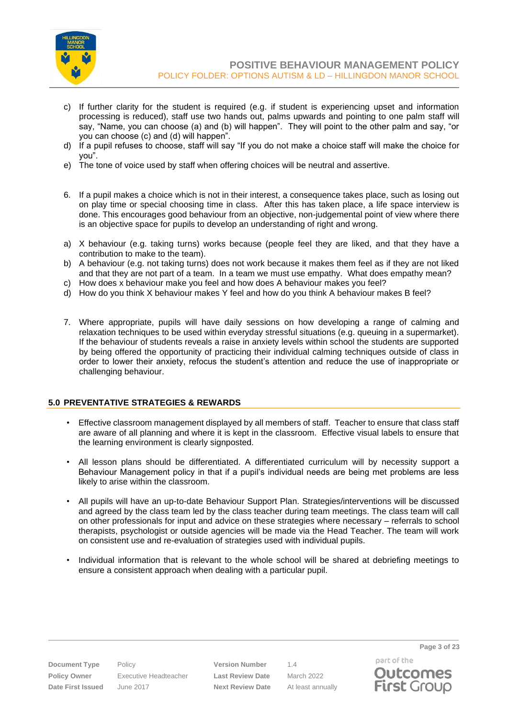

- c) If further clarity for the student is required (e.g. if student is experiencing upset and information processing is reduced), staff use two hands out, palms upwards and pointing to one palm staff will say, "Name, you can choose (a) and (b) will happen". They will point to the other palm and say, "or you can choose (c) and (d) will happen".
- d) If a pupil refuses to choose, staff will say "If you do not make a choice staff will make the choice for you".
- e) The tone of voice used by staff when offering choices will be neutral and assertive.
- 6. If a pupil makes a choice which is not in their interest, a consequence takes place, such as losing out on play time or special choosing time in class. After this has taken place, a life space interview is done. This encourages good behaviour from an objective, non-judgemental point of view where there is an objective space for pupils to develop an understanding of right and wrong.
- a) X behaviour (e.g. taking turns) works because (people feel they are liked, and that they have a contribution to make to the team).
- b) A behaviour (e.g. not taking turns) does not work because it makes them feel as if they are not liked and that they are not part of a team. In a team we must use empathy. What does empathy mean?
- c) How does x behaviour make you feel and how does A behaviour makes you feel?
- d) How do you think X behaviour makes Y feel and how do you think A behaviour makes B feel?
- 7. Where appropriate, pupils will have daily sessions on how developing a range of calming and relaxation techniques to be used within everyday stressful situations (e.g. queuing in a supermarket). If the behaviour of students reveals a raise in anxiety levels within school the students are supported by being offered the opportunity of practicing their individual calming techniques outside of class in order to lower their anxiety, refocus the student's attention and reduce the use of inappropriate or challenging behaviour.

#### <span id="page-2-0"></span>**5.0 PREVENTATIVE STRATEGIES & REWARDS**

- Effective classroom management displayed by all members of staff. Teacher to ensure that class staff are aware of all planning and where it is kept in the classroom. Effective visual labels to ensure that the learning environment is clearly signposted.
- All lesson plans should be differentiated. A differentiated curriculum will by necessity support a Behaviour Management policy in that if a pupil's individual needs are being met problems are less likely to arise within the classroom.
- All pupils will have an up-to-date Behaviour Support Plan. Strategies/interventions will be discussed and agreed by the class team led by the class teacher during team meetings. The class team will call on other professionals for input and advice on these strategies where necessary – referrals to school therapists, psychologist or outside agencies will be made via the Head Teacher. The team will work on consistent use and re-evaluation of strategies used with individual pupils.
- Individual information that is relevant to the whole school will be shared at debriefing meetings to ensure a consistent approach when dealing with a particular pupil.

**Policy Owner** Executive Headteacher **Last Review Date** March 2022 **Date First Issued** June 2017 **Next Review Date** At least annually

**Document Type** Policy **Version Number** 1.4

part of the **Outcomes First Group** 

**Page 3 of 23**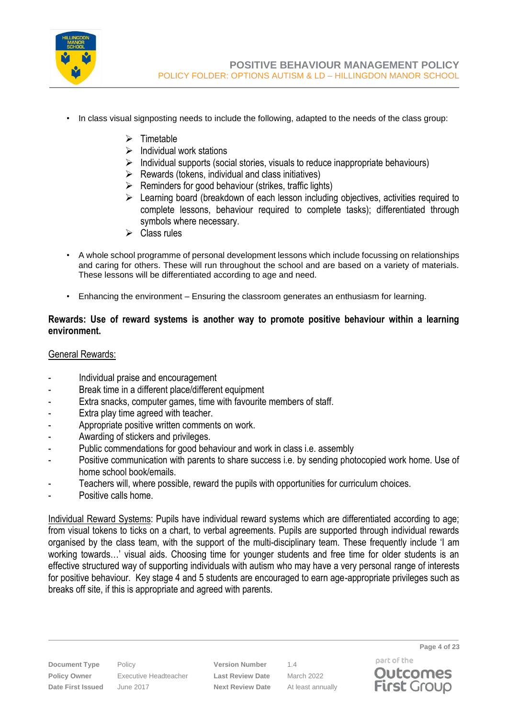

- In class visual signposting needs to include the following, adapted to the needs of the class group:
	- ➢ Timetable
	- $\triangleright$  Individual work stations
	- ➢ Individual supports (social stories, visuals to reduce inappropriate behaviours)
	- $\triangleright$  Rewards (tokens, individual and class initiatives)
	- $\triangleright$  Reminders for good behaviour (strikes, traffic lights)
	- ➢ Learning board (breakdown of each lesson including objectives, activities required to complete lessons, behaviour required to complete tasks); differentiated through symbols where necessary.
	- ➢ Class rules
- A whole school programme of personal development lessons which include focussing on relationships and caring for others. These will run throughout the school and are based on a variety of materials. These lessons will be differentiated according to age and need.
- Enhancing the environment Ensuring the classroom generates an enthusiasm for learning.

# **Rewards: Use of reward systems is another way to promote positive behaviour within a learning environment.**

# General Rewards:

- Individual praise and encouragement
- Break time in a different place/different equipment
- Extra snacks, computer games, time with favourite members of staff.
- Extra play time agreed with teacher.
- Appropriate positive written comments on work.
- Awarding of stickers and privileges.
- Public commendations for good behaviour and work in class i.e. assembly
- Positive communication with parents to share success i.e. by sending photocopied work home. Use of home school book/emails.
- Teachers will, where possible, reward the pupils with opportunities for curriculum choices.
- Positive calls home.

Individual Reward Systems: Pupils have individual reward systems which are differentiated according to age; from visual tokens to ticks on a chart, to verbal agreements. Pupils are supported through individual rewards organised by the class team, with the support of the multi-disciplinary team. These frequently include 'I am working towards…' visual aids. Choosing time for younger students and free time for older students is an effective structured way of supporting individuals with autism who may have a very personal range of interests for positive behaviour. Key stage 4 and 5 students are encouraged to earn age-appropriate privileges such as breaks off site, if this is appropriate and agreed with parents.

**Document Type** Policy **Version Number** 1.4 **Policy Owner** Executive Headteacher **Last Review Date** March 2022 **Date First Issued** June 2017 **Next Review Date** At least annually

part of the **Outcomes First Group** 

**Page 4 of 23**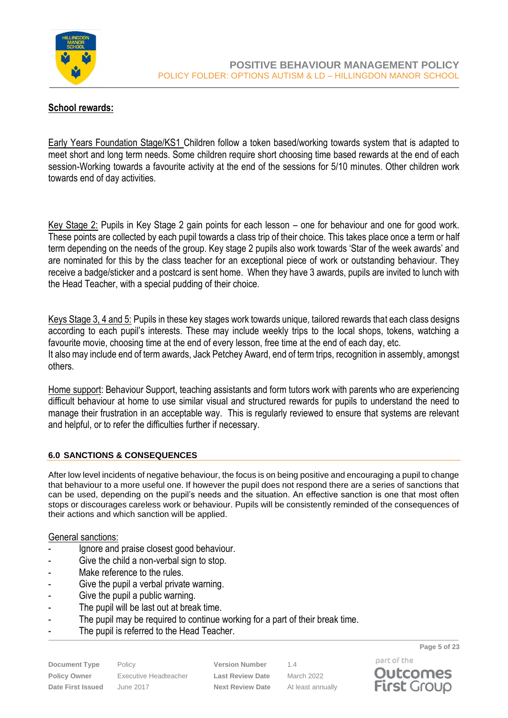

# **School rewards:**

Early Years Foundation Stage/KS1 Children follow a token based/working towards system that is adapted to meet short and long term needs. Some children require short choosing time based rewards at the end of each session-Working towards a favourite activity at the end of the sessions for 5/10 minutes. Other children work towards end of day activities.

Key Stage 2: Pupils in Key Stage 2 gain points for each lesson – one for behaviour and one for good work. These points are collected by each pupil towards a class trip of their choice. This takes place once a term or half term depending on the needs of the group. Key stage 2 pupils also work towards 'Star of the week awards' and are nominated for this by the class teacher for an exceptional piece of work or outstanding behaviour. They receive a badge/sticker and a postcard is sent home. When they have 3 awards, pupils are invited to lunch with the Head Teacher, with a special pudding of their choice.

Keys Stage 3, 4 and 5: Pupils in these key stages work towards unique, tailored rewards that each class designs according to each pupil's interests. These may include weekly trips to the local shops, tokens, watching a favourite movie, choosing time at the end of every lesson, free time at the end of each day, etc. It also may include end of term awards, Jack Petchey Award, end of term trips, recognition in assembly, amongst others.

Home support: Behaviour Support, teaching assistants and form tutors work with parents who are experiencing difficult behaviour at home to use similar visual and structured rewards for pupils to understand the need to manage their frustration in an acceptable way. This is regularly reviewed to ensure that systems are relevant and helpful, or to refer the difficulties further if necessary.

## <span id="page-4-0"></span>**6.0 SANCTIONS & CONSEQUENCES**

After low level incidents of negative behaviour, the focus is on being positive and encouraging a pupil to change that behaviour to a more useful one. If however the pupil does not respond there are a series of sanctions that can be used, depending on the pupil's needs and the situation. An effective sanction is one that most often stops or discourages careless work or behaviour. Pupils will be consistently reminded of the consequences of their actions and which sanction will be applied.

#### General sanctions:

- Ignore and praise closest good behaviour.
- Give the child a non-verbal sign to stop.
- Make reference to the rules.
- Give the pupil a verbal private warning.
- Give the pupil a public warning.
- The pupil will be last out at break time.
- The pupil may be required to continue working for a part of their break time.
- The pupil is referred to the Head Teacher.

**Document Type** Policy **Version Number** 1.4 **Policy Owner** Executive Headteacher **Last Review Date** March 2022 **Date First Issued** June 2017 **Next Review Date** At least annually

**Page 5 of 23** part of the

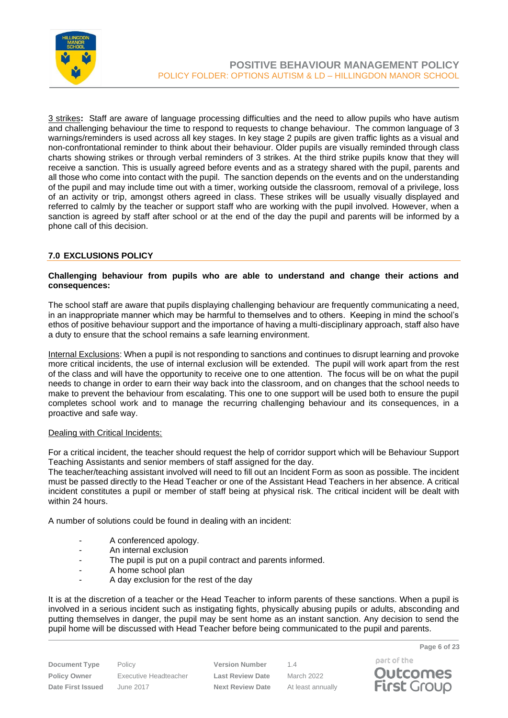

3 strikes**:** Staff are aware of language processing difficulties and the need to allow pupils who have autism and challenging behaviour the time to respond to requests to change behaviour. The common language of 3 warnings/reminders is used across all key stages. In key stage 2 pupils are given traffic lights as a visual and non-confrontational reminder to think about their behaviour. Older pupils are visually reminded through class charts showing strikes or through verbal reminders of 3 strikes. At the third strike pupils know that they will receive a sanction. This is usually agreed before events and as a strategy shared with the pupil, parents and all those who come into contact with the pupil. The sanction depends on the events and on the understanding of the pupil and may include time out with a timer, working outside the classroom, removal of a privilege, loss of an activity or trip, amongst others agreed in class. These strikes will be usually visually displayed and referred to calmly by the teacher or support staff who are working with the pupil involved. However, when a sanction is agreed by staff after school or at the end of the day the pupil and parents will be informed by a phone call of this decision.

#### <span id="page-5-0"></span>**7.0 EXCLUSIONS POLICY**

#### **Challenging behaviour from pupils who are able to understand and change their actions and consequences:**

The school staff are aware that pupils displaying challenging behaviour are frequently communicating a need, in an inappropriate manner which may be harmful to themselves and to others. Keeping in mind the school's ethos of positive behaviour support and the importance of having a multi-disciplinary approach, staff also have a duty to ensure that the school remains a safe learning environment.

Internal Exclusions: When a pupil is not responding to sanctions and continues to disrupt learning and provoke more critical incidents, the use of internal exclusion will be extended. The pupil will work apart from the rest of the class and will have the opportunity to receive one to one attention. The focus will be on what the pupil needs to change in order to earn their way back into the classroom, and on changes that the school needs to make to prevent the behaviour from escalating. This one to one support will be used both to ensure the pupil completes school work and to manage the recurring challenging behaviour and its consequences, in a proactive and safe way.

#### Dealing with Critical Incidents:

For a critical incident, the teacher should request the help of corridor support which will be Behaviour Support Teaching Assistants and senior members of staff assigned for the day.

The teacher/teaching assistant involved will need to fill out an Incident Form as soon as possible. The incident must be passed directly to the Head Teacher or one of the Assistant Head Teachers in her absence. A critical incident constitutes a pupil or member of staff being at physical risk. The critical incident will be dealt with within 24 hours.

A number of solutions could be found in dealing with an incident:

- A conferenced apology.
- An internal exclusion
- The pupil is put on a pupil contract and parents informed.
- A home school plan
- A day exclusion for the rest of the day

It is at the discretion of a teacher or the Head Teacher to inform parents of these sanctions. When a pupil is involved in a serious incident such as instigating fights, physically abusing pupils or adults, absconding and putting themselves in danger, the pupil may be sent home as an instant sanction. Any decision to send the pupil home will be discussed with Head Teacher before being communicated to the pupil and parents.

| Page 6 of 23 |  |  |
|--------------|--|--|
|              |  |  |

**Document Type** Policy **Version Number** 1.4 **Policy Owner** Executive Headteacher **Last Review Date** March 2022 **Date First Issued** June 2017 **Next Review Date** At least annually



part of the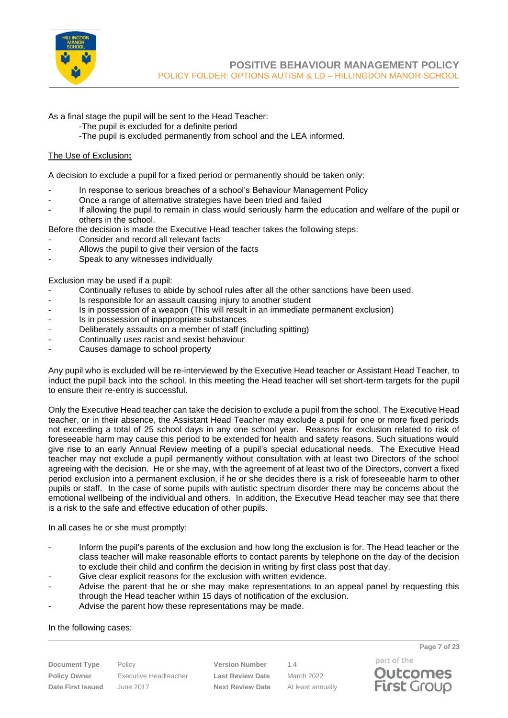

As a final stage the pupil will be sent to the Head Teacher:

- -The pupil is excluded for a definite period
- -The pupil is excluded permanently from school and the LEA informed.

#### The Use of Exclusion**:**

A decision to exclude a pupil for a fixed period or permanently should be taken only:

- In response to serious breaches of a school's Behaviour Management Policy
- Once a range of alternative strategies have been tried and failed
- If allowing the pupil to remain in class would seriously harm the education and welfare of the pupil or others in the school.

Before the decision is made the Executive Head teacher takes the following steps:

- Consider and record all relevant facts
- Allows the pupil to give their version of the facts
- Speak to any witnesses individually

Exclusion may be used if a pupil:

- Continually refuses to abide by school rules after all the other sanctions have been used.
- Is responsible for an assault causing injury to another student
- Is in possession of a weapon (This will result in an immediate permanent exclusion)
- Is in possession of inappropriate substances
- Deliberately assaults on a member of staff (including spitting)
- Continually uses racist and sexist behaviour
- Causes damage to school property

Any pupil who is excluded will be re-interviewed by the Executive Head teacher or Assistant Head Teacher, to induct the pupil back into the school. In this meeting the Head teacher will set short-term targets for the pupil to ensure their re-entry is successful.

Only the Executive Head teacher can take the decision to exclude a pupil from the school. The Executive Head teacher, or in their absence, the Assistant Head Teacher may exclude a pupil for one or more fixed periods not exceeding a total of 25 school days in any one school year. Reasons for exclusion related to risk of foreseeable harm may cause this period to be extended for health and safety reasons. Such situations would give rise to an early Annual Review meeting of a pupil's special educational needs. The Executive Head teacher may not exclude a pupil permanently without consultation with at least two Directors of the school agreeing with the decision. He or she may, with the agreement of at least two of the Directors, convert a fixed period exclusion into a permanent exclusion, if he or she decides there is a risk of foreseeable harm to other pupils or staff. In the case of some pupils with autistic spectrum disorder there may be concerns about the emotional wellbeing of the individual and others. In addition, the Executive Head teacher may see that there is a risk to the safe and effective education of other pupils.

In all cases he or she must promptly:

- Inform the pupil's parents of the exclusion and how long the exclusion is for. The Head teacher or the class teacher will make reasonable efforts to contact parents by telephone on the day of the decision to exclude their child and confirm the decision in writing by first class post that day.
- Give clear explicit reasons for the exclusion with written evidence.
- Advise the parent that he or she may make representations to an appeal panel by requesting this through the Head teacher within 15 days of notification of the exclusion.
- Advise the parent how these representations may be made.

#### In the following cases;

**Policy Owner** Executive Headteacher **Last Review Date** March 2022 **Date First Issued** June 2017 **Next Review Date** At least annually

**Document Type** Policy **Version Number** 1.4

part of the **Outcomes First Group** 

**Page 7 of 23**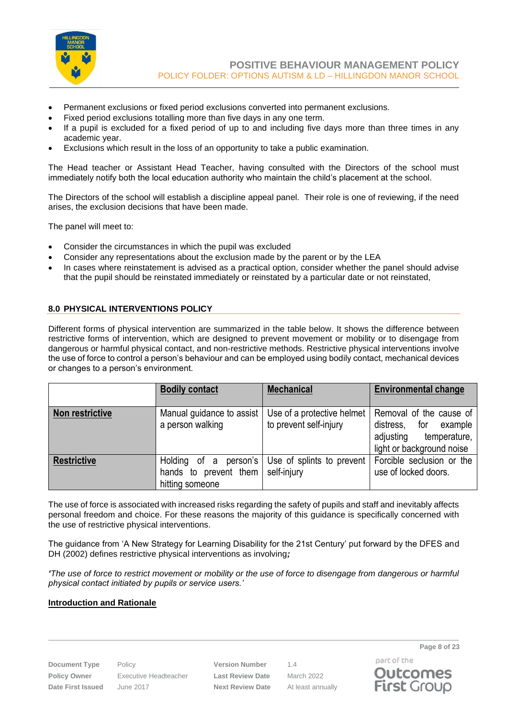

- Permanent exclusions or fixed period exclusions converted into permanent exclusions.
- Fixed period exclusions totalling more than five days in any one term.
- If a pupil is excluded for a fixed period of up to and including five days more than three times in any academic year.
- Exclusions which result in the loss of an opportunity to take a public examination.

The Head teacher or Assistant Head Teacher, having consulted with the Directors of the school must immediately notify both the local education authority who maintain the child's placement at the school.

The Directors of the school will establish a discipline appeal panel. Their role is one of reviewing, if the need arises, the exclusion decisions that have been made.

The panel will meet to:

- Consider the circumstances in which the pupil was excluded
- Consider any representations about the exclusion made by the parent or by the LEA
- In cases where reinstatement is advised as a practical option, consider whether the panel should advise that the pupil should be reinstated immediately or reinstated by a particular date or not reinstated,

#### <span id="page-7-0"></span>**8.0 PHYSICAL INTERVENTIONS POLICY**

Different forms of physical intervention are summarized in the table below. It shows the difference between restrictive forms of intervention, which are designed to prevent movement or mobility or to disengage from dangerous or harmful physical contact, and non-restrictive methods. Restrictive physical interventions involve the use of force to control a person's behaviour and can be employed using bodily contact, mechanical devices or changes to a person's environment.

|                    | <b>Bodily contact</b>                                                                 | <b>Mechanical</b>                                    | <b>Environmental change</b>                                                                                   |
|--------------------|---------------------------------------------------------------------------------------|------------------------------------------------------|---------------------------------------------------------------------------------------------------------------|
| Non restrictive    | Manual guidance to assist<br>a person walking                                         | Use of a protective helmet<br>to prevent self-injury | Removal of the cause of<br>for example<br>distress,<br>temperature,<br>adjusting<br>light or background noise |
| <b>Restrictive</b> | Holding of a person's<br>hands to prevent them $\vert$ self-injury<br>hitting someone | Use of splints to prevent                            | Forcible seclusion or the<br>use of locked doors.                                                             |

The use of force is associated with increased risks regarding the safety of pupils and staff and inevitably affects personal freedom and choice. For these reasons the majority of this guidance is specifically concerned with the use of restrictive physical interventions.

The guidance from 'A New Strategy for Learning Disability for the 21st Century' put forward by the DFES and DH (2002) defines restrictive physical interventions as involving*;*

*'The use of force to restrict movement or mobility or the use of force to disengage from dangerous or harmful physical contact initiated by pupils or service users.'*

#### **Introduction and Rationale**

**Policy Owner** Executive Headteacher **Last Review Date** March 2022 **Date First Issued** June 2017 **Next Review Date** At least annually

**Document Type** Policy **Version Number** 1.4

part of the **Outcomes First Group** 

**Page 8 of 23**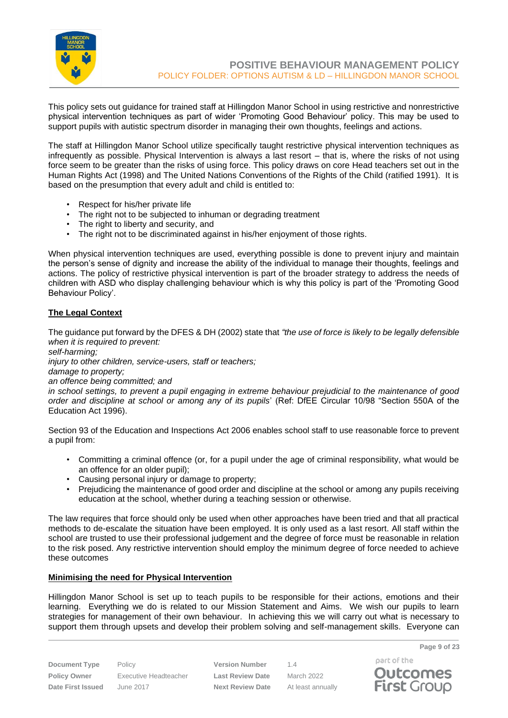

This policy sets out guidance for trained staff at Hillingdon Manor School in using restrictive and nonrestrictive physical intervention techniques as part of wider 'Promoting Good Behaviour' policy. This may be used to support pupils with autistic spectrum disorder in managing their own thoughts, feelings and actions.

The staff at Hillingdon Manor School utilize specifically taught restrictive physical intervention techniques as infrequently as possible. Physical Intervention is always a last resort – that is, where the risks of not using force seem to be greater than the risks of using force. This policy draws on core Head teachers set out in the Human Rights Act (1998) and The United Nations Conventions of the Rights of the Child (ratified 1991). It is based on the presumption that every adult and child is entitled to:

- Respect for his/her private life
- The right not to be subjected to inhuman or degrading treatment
- The right to liberty and security, and
- The right not to be discriminated against in his/her enjoyment of those rights.

When physical intervention techniques are used, everything possible is done to prevent injury and maintain the person's sense of dignity and increase the ability of the individual to manage their thoughts, feelings and actions. The policy of restrictive physical intervention is part of the broader strategy to address the needs of children with ASD who display challenging behaviour which is why this policy is part of the 'Promoting Good Behaviour Policy'.

#### **The Legal Context**

The guidance put forward by the DFES & DH (2002) state that *"the use of force is likely to be legally defensible when it is required to prevent:*

*self-harming;*

*injury to other children, service-users, staff or teachers;*

*damage to property;*

*an offence being committed; and*

*in school settings, to prevent a pupil engaging in extreme behaviour prejudicial to the maintenance of good order and discipline at school or among any of its pupils*' (Ref: DfEE Circular 10/98 "Section 550A of the Education Act 1996).

Section 93 of the Education and Inspections Act 2006 enables school staff to use reasonable force to prevent a pupil from:

- Committing a criminal offence (or, for a pupil under the age of criminal responsibility, what would be an offence for an older pupil);
- Causing personal injury or damage to property;
- Prejudicing the maintenance of good order and discipline at the school or among any pupils receiving education at the school, whether during a teaching session or otherwise.

The law requires that force should only be used when other approaches have been tried and that all practical methods to de-escalate the situation have been employed. It is only used as a last resort. All staff within the school are trusted to use their professional judgement and the degree of force must be reasonable in relation to the risk posed. Any restrictive intervention should employ the minimum degree of force needed to achieve these outcomes

#### **Minimising the need for Physical Intervention**

Hillingdon Manor School is set up to teach pupils to be responsible for their actions, emotions and their learning. Everything we do is related to our Mission Statement and Aims. We wish our pupils to learn strategies for management of their own behaviour. In achieving this we will carry out what is necessary to support them through upsets and develop their problem solving and self-management skills. Everyone can

**Document Type** Policy **Version Number** 1.4 **Policy Owner** Executive Headteacher **Last Review Date** March 2022 **Date First Issued** June 2017 **Next Review Date** At least annually

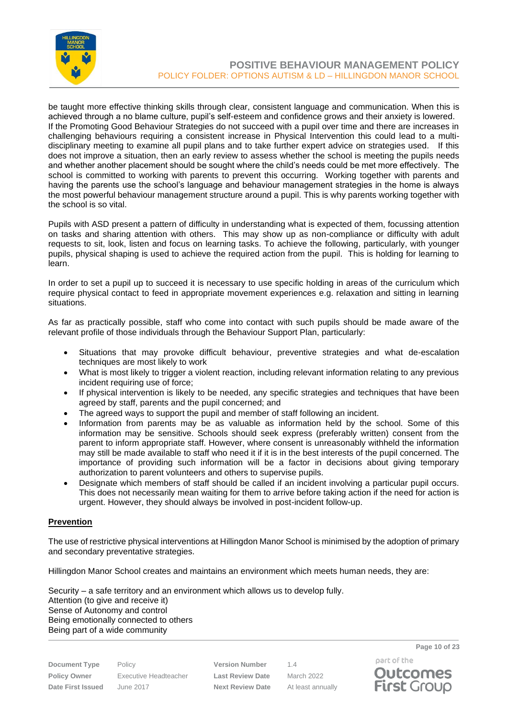

be taught more effective thinking skills through clear, consistent language and communication. When this is achieved through a no blame culture, pupil's self-esteem and confidence grows and their anxiety is lowered. If the Promoting Good Behaviour Strategies do not succeed with a pupil over time and there are increases in challenging behaviours requiring a consistent increase in Physical Intervention this could lead to a multidisciplinary meeting to examine all pupil plans and to take further expert advice on strategies used. If this does not improve a situation, then an early review to assess whether the school is meeting the pupils needs and whether another placement should be sought where the child's needs could be met more effectively. The school is committed to working with parents to prevent this occurring. Working together with parents and having the parents use the school's language and behaviour management strategies in the home is always the most powerful behaviour management structure around a pupil. This is why parents working together with the school is so vital.

Pupils with ASD present a pattern of difficulty in understanding what is expected of them, focussing attention on tasks and sharing attention with others. This may show up as non-compliance or difficulty with adult requests to sit, look, listen and focus on learning tasks. To achieve the following, particularly, with younger pupils, physical shaping is used to achieve the required action from the pupil. This is holding for learning to learn.

In order to set a pupil up to succeed it is necessary to use specific holding in areas of the curriculum which require physical contact to feed in appropriate movement experiences e.g. relaxation and sitting in learning situations.

As far as practically possible, staff who come into contact with such pupils should be made aware of the relevant profile of those individuals through the Behaviour Support Plan, particularly:

- Situations that may provoke difficult behaviour, preventive strategies and what de-escalation techniques are most likely to work
- What is most likely to trigger a violent reaction, including relevant information relating to any previous incident requiring use of force;
- If physical intervention is likely to be needed, any specific strategies and techniques that have been agreed by staff, parents and the pupil concerned; and
- The agreed ways to support the pupil and member of staff following an incident.
- Information from parents may be as valuable as information held by the school. Some of this information may be sensitive. Schools should seek express (preferably written) consent from the parent to inform appropriate staff. However, where consent is unreasonably withheld the information may still be made available to staff who need it if it is in the best interests of the pupil concerned. The importance of providing such information will be a factor in decisions about giving temporary authorization to parent volunteers and others to supervise pupils.
- Designate which members of staff should be called if an incident involving a particular pupil occurs. This does not necessarily mean waiting for them to arrive before taking action if the need for action is urgent. However, they should always be involved in post-incident follow-up.

#### **Prevention**

The use of restrictive physical interventions at Hillingdon Manor School is minimised by the adoption of primary and secondary preventative strategies.

Hillingdon Manor School creates and maintains an environment which meets human needs, they are:

Security – a safe territory and an environment which allows us to develop fully. Attention (to give and receive it) Sense of Autonomy and control Being emotionally connected to others Being part of a wide community

| <b>Document Type</b>     | Policy    |
|--------------------------|-----------|
| <b>Policy Owner</b>      | Executive |
| <b>Date First Issued</b> | June 2017 |

**Version Number** 1.4 **Policy Owner** Executive Headteacher **Last Review Date** March 2022 **Parameter Studies Issued Vext Review Date** At least annually

part of the **Outcomes First Group** 

**Page 10 of 23**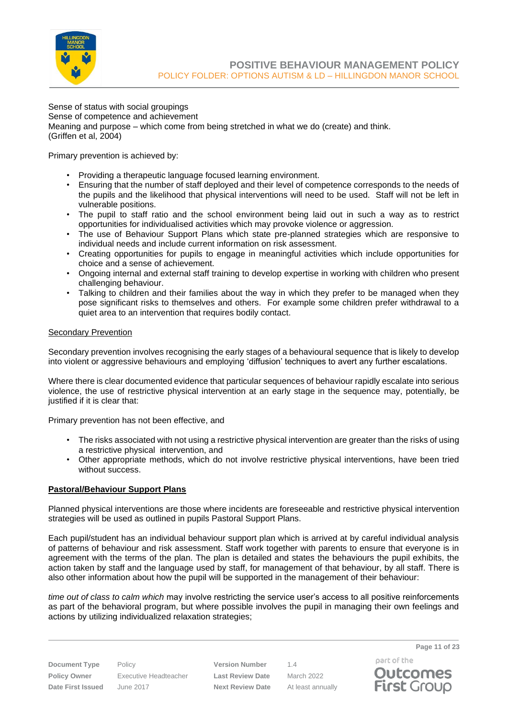

Sense of status with social groupings Sense of competence and achievement Meaning and purpose – which come from being stretched in what we do (create) and think. (Griffen et al, 2004)

Primary prevention is achieved by:

- Providing a therapeutic language focused learning environment.
- Ensuring that the number of staff deployed and their level of competence corresponds to the needs of the pupils and the likelihood that physical interventions will need to be used. Staff will not be left in vulnerable positions.
- The pupil to staff ratio and the school environment being laid out in such a way as to restrict opportunities for individualised activities which may provoke violence or aggression.
- The use of Behaviour Support Plans which state pre-planned strategies which are responsive to individual needs and include current information on risk assessment.
- Creating opportunities for pupils to engage in meaningful activities which include opportunities for choice and a sense of achievement.
- Ongoing internal and external staff training to develop expertise in working with children who present challenging behaviour.
- Talking to children and their families about the way in which they prefer to be managed when they pose significant risks to themselves and others. For example some children prefer withdrawal to a quiet area to an intervention that requires bodily contact.

## Secondary Prevention

Secondary prevention involves recognising the early stages of a behavioural sequence that is likely to develop into violent or aggressive behaviours and employing 'diffusion' techniques to avert any further escalations.

Where there is clear documented evidence that particular sequences of behaviour rapidly escalate into serious violence, the use of restrictive physical intervention at an early stage in the sequence may, potentially, be justified if it is clear that:

Primary prevention has not been effective, and

- The risks associated with not using a restrictive physical intervention are greater than the risks of using a restrictive physical intervention, and
- Other appropriate methods, which do not involve restrictive physical interventions, have been tried without success.

#### **Pastoral/Behaviour Support Plans**

Planned physical interventions are those where incidents are foreseeable and restrictive physical intervention strategies will be used as outlined in pupils Pastoral Support Plans.

Each pupil/student has an individual behaviour support plan which is arrived at by careful individual analysis of patterns of behaviour and risk assessment. Staff work together with parents to ensure that everyone is in agreement with the terms of the plan. The plan is detailed and states the behaviours the pupil exhibits, the action taken by staff and the language used by staff, for management of that behaviour, by all staff. There is also other information about how the pupil will be supported in the management of their behaviour:

*time out of class to calm which* may involve restricting the service user's access to all positive reinforcements as part of the behavioral program, but where possible involves the pupil in managing their own feelings and actions by utilizing individualized relaxation strategies;

**Document Type** Policy **Version Number** 1.4 **Policy Owner** Executive Headteacher **Last Review Date** March 2022 **Date First Issued** June 2017 **Next Review Date** At least annually

part of the **Outcomes First Group** 

**Page 11 of 23**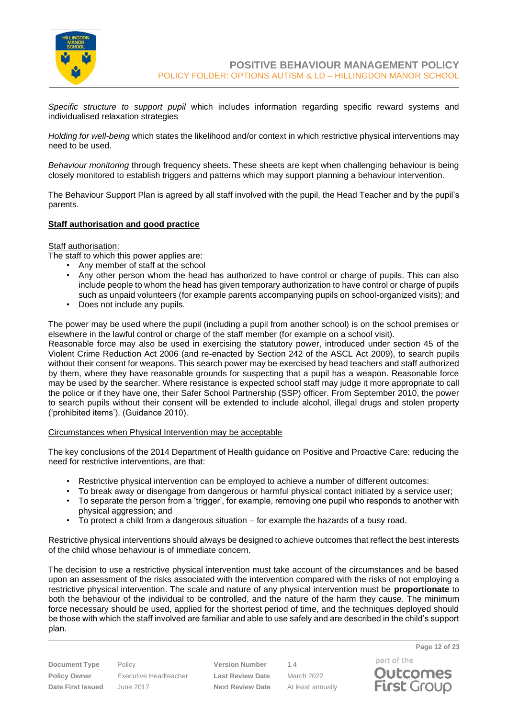

*Specific structure to support pupil* which includes information regarding specific reward systems and individualised relaxation strategies

*Holding for well-being* which states the likelihood and/or context in which restrictive physical interventions may need to be used.

*Behaviour monitoring* through frequency sheets. These sheets are kept when challenging behaviour is being closely monitored to establish triggers and patterns which may support planning a behaviour intervention.

The Behaviour Support Plan is agreed by all staff involved with the pupil, the Head Teacher and by the pupil's parents.

#### **Staff authorisation and good practice**

Staff authorisation:

The staff to which this power applies are:

- Any member of staff at the school
- Any other person whom the head has authorized to have control or charge of pupils. This can also include people to whom the head has given temporary authorization to have control or charge of pupils such as unpaid volunteers (for example parents accompanying pupils on school-organized visits); and
- Does not include any pupils.

The power may be used where the pupil (including a pupil from another school) is on the school premises or elsewhere in the lawful control or charge of the staff member (for example on a school visit).

Reasonable force may also be used in exercising the statutory power, introduced under section 45 of the Violent Crime Reduction Act 2006 (and re-enacted by Section 242 of the ASCL Act 2009), to search pupils without their consent for weapons. This search power may be exercised by head teachers and staff authorized by them, where they have reasonable grounds for suspecting that a pupil has a weapon. Reasonable force may be used by the searcher. Where resistance is expected school staff may judge it more appropriate to call the police or if they have one, their Safer School Partnership (SSP) officer. From September 2010, the power to search pupils without their consent will be extended to include alcohol, illegal drugs and stolen property ('prohibited items'). (Guidance 2010).

#### Circumstances when Physical Intervention may be acceptable

The key conclusions of the 2014 Department of Health guidance on Positive and Proactive Care: reducing the need for restrictive interventions, are that:

- Restrictive physical intervention can be employed to achieve a number of different outcomes:
- To break away or disengage from dangerous or harmful physical contact initiated by a service user;
- To separate the person from a 'trigger', for example, removing one pupil who responds to another with physical aggression; and
- To protect a child from a dangerous situation for example the hazards of a busy road.

Restrictive physical interventions should always be designed to achieve outcomes that reflect the best interests of the child whose behaviour is of immediate concern.

The decision to use a restrictive physical intervention must take account of the circumstances and be based upon an assessment of the risks associated with the intervention compared with the risks of not employing a restrictive physical intervention. The scale and nature of any physical intervention must be **proportionate** to both the behaviour of the individual to be controlled, and the nature of the harm they cause. The minimum force necessary should be used, applied for the shortest period of time, and the techniques deployed should be those with which the staff involved are familiar and able to use safely and are described in the child's support plan.

**Policy Owner** Executive Headteacher **Last Review Date** March 2022 **Date First Issued** June 2017 **Next Review Date** At least annually

**Document Type** Policy **Version Number** 1.4

part of the **Outcomes First Group**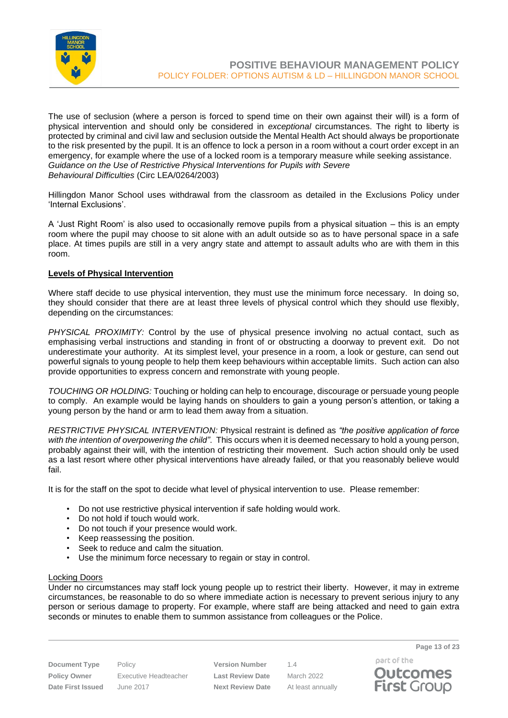

The use of seclusion (where a person is forced to spend time on their own against their will) is a form of physical intervention and should only be considered in *exceptional* circumstances. The right to liberty is protected by criminal and civil law and seclusion outside the Mental Health Act should always be proportionate to the risk presented by the pupil. It is an offence to lock a person in a room without a court order except in an emergency, for example where the use of a locked room is a temporary measure while seeking assistance. *Guidance on the Use of Restrictive Physical Interventions for Pupils with Severe Behavioural Difficulties* (Circ LEA/0264/2003)

Hillingdon Manor School uses withdrawal from the classroom as detailed in the Exclusions Policy under 'Internal Exclusions'.

A 'Just Right Room' is also used to occasionally remove pupils from a physical situation – this is an empty room where the pupil may choose to sit alone with an adult outside so as to have personal space in a safe place. At times pupils are still in a very angry state and attempt to assault adults who are with them in this room.

#### **Levels of Physical Intervention**

Where staff decide to use physical intervention, they must use the minimum force necessary. In doing so, they should consider that there are at least three levels of physical control which they should use flexibly, depending on the circumstances:

*PHYSICAL PROXIMITY:* Control by the use of physical presence involving no actual contact, such as emphasising verbal instructions and standing in front of or obstructing a doorway to prevent exit. Do not underestimate your authority. At its simplest level, your presence in a room, a look or gesture, can send out powerful signals to young people to help them keep behaviours within acceptable limits. Such action can also provide opportunities to express concern and remonstrate with young people.

*TOUCHING OR HOLDING:* Touching or holding can help to encourage, discourage or persuade young people to comply. An example would be laying hands on shoulders to gain a young person's attention, or taking a young person by the hand or arm to lead them away from a situation.

*RESTRICTIVE PHYSICAL INTERVENTION:* Physical restraint is defined as *"the positive application of force*  with the intention of overpowering the child". This occurs when it is deemed necessary to hold a young person, probably against their will, with the intention of restricting their movement. Such action should only be used as a last resort where other physical interventions have already failed, or that you reasonably believe would fail.

It is for the staff on the spot to decide what level of physical intervention to use. Please remember:

- Do not use restrictive physical intervention if safe holding would work.
- Do not hold if touch would work.
- Do not touch if your presence would work.
- Keep reassessing the position.
- Seek to reduce and calm the situation.
- Use the minimum force necessary to regain or stay in control.

#### Locking Doors

Under no circumstances may staff lock young people up to restrict their liberty. However, it may in extreme circumstances, be reasonable to do so where immediate action is necessary to prevent serious injury to any person or serious damage to property. For example, where staff are being attacked and need to gain extra seconds or minutes to enable them to summon assistance from colleagues or the Police.

**Policy Owner** Executive Headteacher **Last Review Date** March 2022 **Date First Issued** June 2017 **Next Review Date** At least annually

**Document Type** Policy **Version Number** 1.4

part of the



**Page 13 of 23**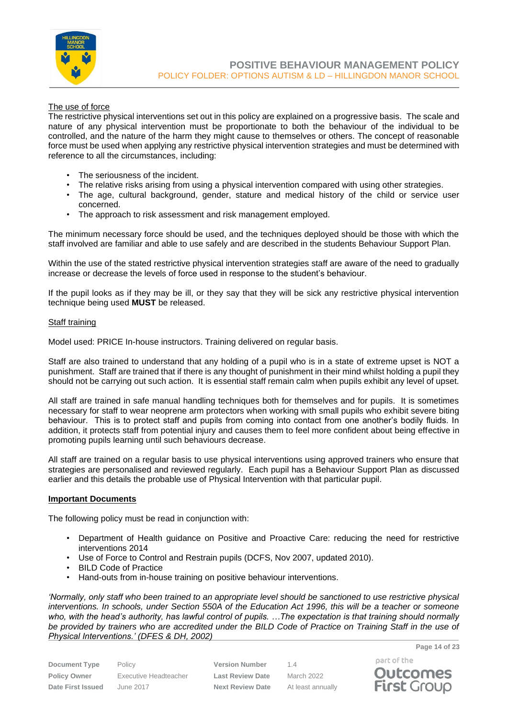

#### The use of force

The restrictive physical interventions set out in this policy are explained on a progressive basis. The scale and nature of any physical intervention must be proportionate to both the behaviour of the individual to be controlled, and the nature of the harm they might cause to themselves or others. The concept of reasonable force must be used when applying any restrictive physical intervention strategies and must be determined with reference to all the circumstances, including:

- The seriousness of the incident.
- The relative risks arising from using a physical intervention compared with using other strategies.
- The age, cultural background, gender, stature and medical history of the child or service user concerned.
- The approach to risk assessment and risk management employed.

The minimum necessary force should be used, and the techniques deployed should be those with which the staff involved are familiar and able to use safely and are described in the students Behaviour Support Plan.

Within the use of the stated restrictive physical intervention strategies staff are aware of the need to gradually increase or decrease the levels of force used in response to the student's behaviour.

If the pupil looks as if they may be ill, or they say that they will be sick any restrictive physical intervention technique being used **MUST** be released.

#### Staff training

Model used: PRICE In-house instructors. Training delivered on regular basis.

Staff are also trained to understand that any holding of a pupil who is in a state of extreme upset is NOT a punishment. Staff are trained that if there is any thought of punishment in their mind whilst holding a pupil they should not be carrying out such action. It is essential staff remain calm when pupils exhibit any level of upset.

All staff are trained in safe manual handling techniques both for themselves and for pupils. It is sometimes necessary for staff to wear neoprene arm protectors when working with small pupils who exhibit severe biting behaviour. This is to protect staff and pupils from coming into contact from one another's bodily fluids. In addition, it protects staff from potential injury and causes them to feel more confident about being effective in promoting pupils learning until such behaviours decrease.

All staff are trained on a regular basis to use physical interventions using approved trainers who ensure that strategies are personalised and reviewed regularly. Each pupil has a Behaviour Support Plan as discussed earlier and this details the probable use of Physical Intervention with that particular pupil.

#### **Important Documents**

The following policy must be read in conjunction with:

- Department of Health guidance on Positive and Proactive Care: reducing the need for restrictive interventions 2014
- Use of Force to Control and Restrain pupils (DCFS, Nov 2007, updated 2010).
- BILD Code of Practice
- Hand-outs from in-house training on positive behaviour interventions.

*'Normally, only staff who been trained to an appropriate level should be sanctioned to use restrictive physical interventions. In schools, under Section 550A of the Education Act 1996, this will be a teacher or someone who, with the head's authority, has lawful control of pupils. …The expectation is that training should normally be provided by trainers who are accredited under the BILD Code of Practice on Training Staff in the use of Physical Interventions.' (DFES & DH, 2002)*

| <b>Document Type</b>     | P  |
|--------------------------|----|
| <b>Policy Owner</b>      | Е  |
| <b>Date First Issued</b> | J١ |

**Policy Owner** Executive Headteacher **Last Review Date** March 2022 **Date First Issued** June 2017 **Next Review Date** At least annually

**Drawing Version Number** 1.4



**Page 14 of 23**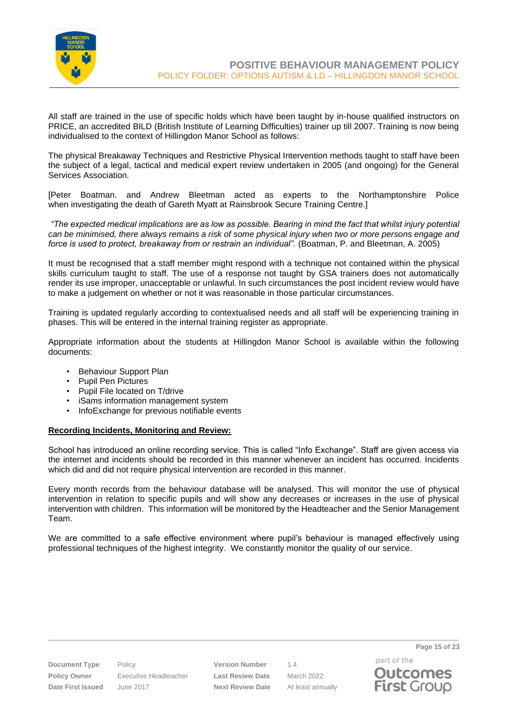

All staff are trained in the use of specific holds which have been taught by in-house qualified instructors on PRICE, an accredited BILD (British Institute of Learning Difficulties) trainer up till 2007. Training is now being individualised to the context of Hillingdon Manor School as follows:

The physical Breakaway Techniques and Restrictive Physical Intervention methods taught to staff have been the subject of a legal, tactical and medical expert review undertaken in 2005 (and ongoing) for the General Services Association.

[Peter Boatman. and Andrew Bleetman acted as experts to the Northamptonshire Police when investigating the death of Gareth Myatt at Rainsbrook Secure Training Centre.]

*"The expected medical implications are as low as possible. Bearing in mind the fact that whilst injury potential can be minimised, there always remains a risk of some physical injury when two or more persons engage and force is used to protect, breakaway from or restrain an individual".* (Boatman, P. and Bleetman, A. 2005)

It must be recognised that a staff member might respond with a technique not contained within the physical skills curriculum taught to staff. The use of a response not taught by GSA trainers does not automatically render its use improper, unacceptable or unlawful. In such circumstances the post incident review would have to make a judgement on whether or not it was reasonable in those particular circumstances.

Training is updated regularly according to contextualised needs and all staff will be experiencing training in phases. This will be entered in the internal training register as appropriate.

Appropriate information about the students at Hillingdon Manor School is available within the following documents:

- Behaviour Support Plan
- Pupil Pen Pictures
- Pupil File located on T/drive
- iSams information management system
- InfoExchange for previous notifiable events

#### **Recording Incidents, Monitoring and Review:**

School has introduced an online recording service. This is called "Info Exchange". Staff are given access via the internet and incidents should be recorded in this manner whenever an incident has occurred. Incidents which did and did not require physical intervention are recorded in this manner.

Every month records from the behaviour database will be analysed. This will monitor the use of physical intervention in relation to specific pupils and will show any decreases or increases in the use of physical intervention with children. This information will be monitored by the Headteacher and the Senior Management Team.

We are committed to a safe effective environment where pupil's behaviour is managed effectively using professional techniques of the highest integrity. We constantly monitor the quality of our service.

**Document Type** Policy **Version Number** 1.4 **Policy Owner** Executive Headteacher **Last Review Date** March 2022 **Date First Issued** June 2017 **Next Review Date** At least annually

part of the **Outcomes First Group** 

**Page 15 of 23**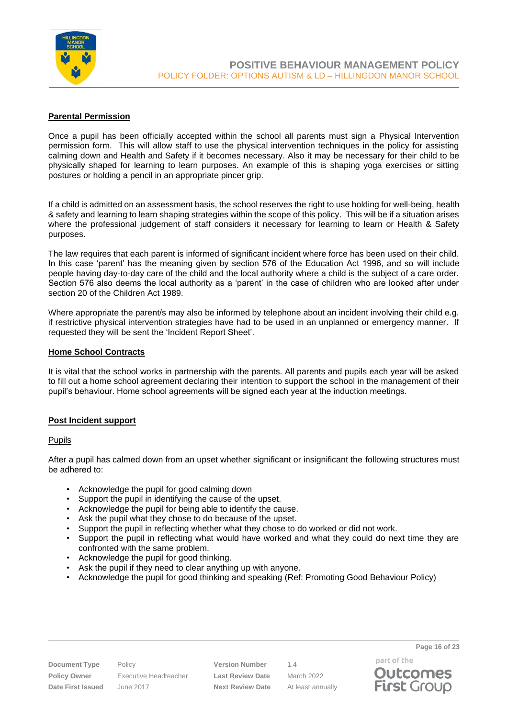

#### **Parental Permission**

Once a pupil has been officially accepted within the school all parents must sign a Physical Intervention permission form. This will allow staff to use the physical intervention techniques in the policy for assisting calming down and Health and Safety if it becomes necessary. Also it may be necessary for their child to be physically shaped for learning to learn purposes. An example of this is shaping yoga exercises or sitting postures or holding a pencil in an appropriate pincer grip.

If a child is admitted on an assessment basis, the school reserves the right to use holding for well-being, health & safety and learning to learn shaping strategies within the scope of this policy. This will be if a situation arises where the professional judgement of staff considers it necessary for learning to learn or Health & Safety purposes.

The law requires that each parent is informed of significant incident where force has been used on their child. In this case 'parent' has the meaning given by section 576 of the Education Act 1996, and so will include people having day-to-day care of the child and the local authority where a child is the subject of a care order. Section 576 also deems the local authority as a 'parent' in the case of children who are looked after under section 20 of the Children Act 1989.

Where appropriate the parent/s may also be informed by telephone about an incident involving their child e.g. if restrictive physical intervention strategies have had to be used in an unplanned or emergency manner. If requested they will be sent the 'Incident Report Sheet'.

#### **Home School Contracts**

It is vital that the school works in partnership with the parents. All parents and pupils each year will be asked to fill out a home school agreement declaring their intention to support the school in the management of their pupil's behaviour. Home school agreements will be signed each year at the induction meetings.

#### **Post Incident support**

Pupils

After a pupil has calmed down from an upset whether significant or insignificant the following structures must be adhered to:

- Acknowledge the pupil for good calming down
- Support the pupil in identifying the cause of the upset.
- Acknowledge the pupil for being able to identify the cause.
- Ask the pupil what they chose to do because of the upset.
- Support the pupil in reflecting whether what they chose to do worked or did not work.
- Support the pupil in reflecting what would have worked and what they could do next time they are confronted with the same problem.
- Acknowledge the pupil for good thinking.
- Ask the pupil if they need to clear anything up with anyone.
- Acknowledge the pupil for good thinking and speaking (Ref: Promoting Good Behaviour Policy)

**Policy Owner** Executive Headteacher **Last Review Date** March 2022 **Date First Issued** June 2017 **Next Review Date** At least annually

**Document Type** Policy **Version Number** 1.4

part of the **Outcomes First Group** 

**Page 16 of 23**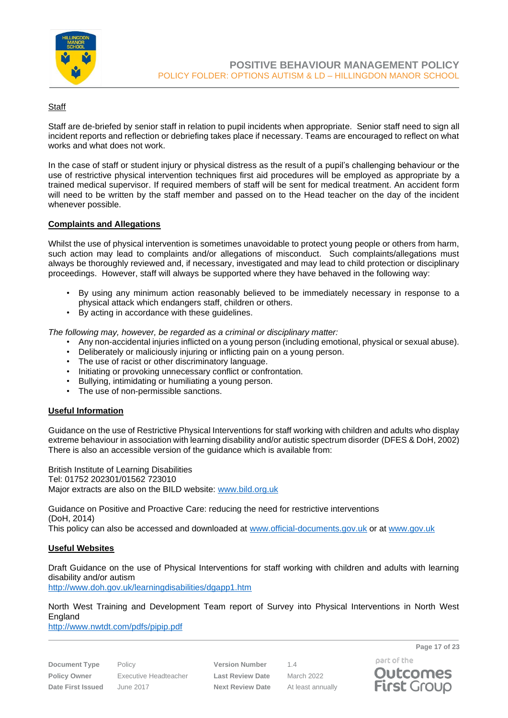

#### **Staff**

Staff are de-briefed by senior staff in relation to pupil incidents when appropriate. Senior staff need to sign all incident reports and reflection or debriefing takes place if necessary. Teams are encouraged to reflect on what works and what does not work.

In the case of staff or student injury or physical distress as the result of a pupil's challenging behaviour or the use of restrictive physical intervention techniques first aid procedures will be employed as appropriate by a trained medical supervisor. If required members of staff will be sent for medical treatment. An accident form will need to be written by the staff member and passed on to the Head teacher on the day of the incident whenever possible.

#### **Complaints and Allegations**

Whilst the use of physical intervention is sometimes unavoidable to protect young people or others from harm, such action may lead to complaints and/or allegations of misconduct. Such complaints/allegations must always be thoroughly reviewed and, if necessary, investigated and may lead to child protection or disciplinary proceedings. However, staff will always be supported where they have behaved in the following way:

- By using any minimum action reasonably believed to be immediately necessary in response to a physical attack which endangers staff, children or others.
- By acting in accordance with these guidelines.

*The following may, however, be regarded as a criminal or disciplinary matter:*

- Any non-accidental injuries inflicted on a young person (including emotional, physical or sexual abuse).
- Deliberately or maliciously injuring or inflicting pain on a young person.
- The use of racist or other discriminatory language.
- Initiating or provoking unnecessary conflict or confrontation.
- Bullying, intimidating or humiliating a young person.
- The use of non-permissible sanctions.

#### **Useful Information**

Guidance on the use of Restrictive Physical Interventions for staff working with children and adults who display extreme behaviour in association with learning disability and/or autistic spectrum disorder (DFES & DoH, 2002) There is also an accessible version of the guidance which is available from:

British Institute of Learning Disabilities Tel: 01752 202301/01562 723010 Major extracts are also on the BILD website: [www.bild.org.uk](http://www.bild.org.uk/)

Guidance on Positive and Proactive Care: reducing the need for restrictive interventions (DoH, 2014) This policy can also be accessed and downloaded at [www.official-documents.gov.uk](http://www.official-documents.gov.uk/) or at [www.gov.uk](http://www.gov.uk/)

#### **Useful Websites**

Draft Guidance on the use of Physical Interventions for staff working with children and adults with learning disability and/or autism

<http://www.doh.gov.uk/learningdisabilities/dgapp1.htm>

North West Training and Development Team report of Survey into Physical Interventions in North West England

<http://www.nwtdt.com/pdfs/pipip.pdf>

**Document Type** Policy **Version Number** 1.4 **Policy Owner** Executive Headteacher **Last Review Date** March 2022 **Date First Issued** June 2017 **Next Review Date** At least annually

**Page 17 of 23**

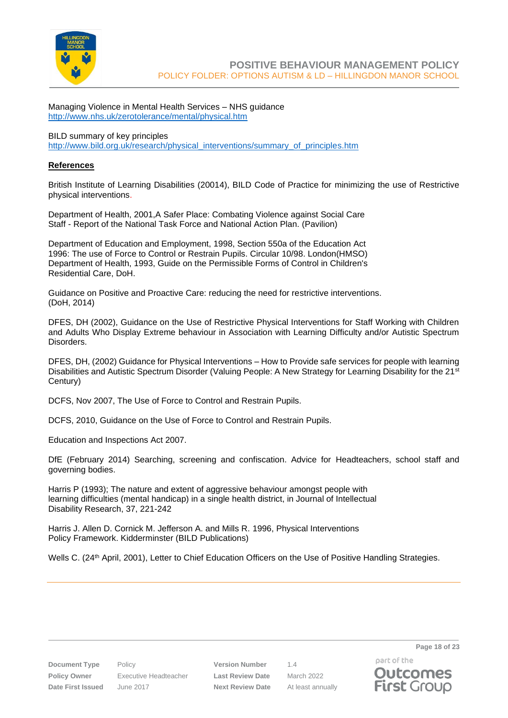

Managing Violence in Mental Health Services – NHS guidance <http://www.nhs.uk/zerotolerance/mental/physical.htm>

BILD summary of key principles [http://www.bild.org.uk/research/physical\\_interventions/summary\\_of\\_principles.htm](http://www.bild.org.uk/research/physical_interventions/summary_of_principles.htm)

#### **References**

British Institute of Learning Disabilities (20014), BILD Code of Practice for minimizing the use of Restrictive physical interventions.

Department of Health, 2001,A Safer Place: Combating Violence against Social Care Staff - Report of the National Task Force and National Action Plan. (Pavilion)

Department of Education and Employment, 1998, Section 550a of the Education Act 1996: The use of Force to Control or Restrain Pupils. Circular 10/98. London(HMSO) Department of Health, 1993, Guide on the Permissible Forms of Control in Children's Residential Care, DoH.

Guidance on Positive and Proactive Care: reducing the need for restrictive interventions. (DoH, 2014)

DFES, DH (2002), Guidance on the Use of Restrictive Physical Interventions for Staff Working with Children and Adults Who Display Extreme behaviour in Association with Learning Difficulty and/or Autistic Spectrum Disorders.

DFES, DH, (2002) Guidance for Physical Interventions – How to Provide safe services for people with learning Disabilities and Autistic Spectrum Disorder (Valuing People: A New Strategy for Learning Disability for the 21<sup>st</sup> Century)

DCFS, Nov 2007, The Use of Force to Control and Restrain Pupils.

DCFS, 2010, Guidance on the Use of Force to Control and Restrain Pupils.

Education and Inspections Act 2007.

DfE (February 2014) Searching, screening and confiscation. Advice for Headteachers, school staff and governing bodies.

Harris P (1993); The nature and extent of aggressive behaviour amongst people with learning difficulties (mental handicap) in a single health district, in Journal of Intellectual Disability Research, 37, 221-242

Harris J. Allen D. Cornick M. Jefferson A. and Mills R. 1996, Physical Interventions Policy Framework. Kidderminster (BILD Publications)

Wells C. (24<sup>th</sup> April, 2001), Letter to Chief Education Officers on the Use of Positive Handling Strategies.

**Document Type** Policy **Version Number** 1.4 **Policy Owner** Executive Headteacher **Last Review Date** March 2022 **Date First Issued** June 2017 **Next Review Date** At least annually

part of the **Outcomes First Group** 

**Page 18 of 23**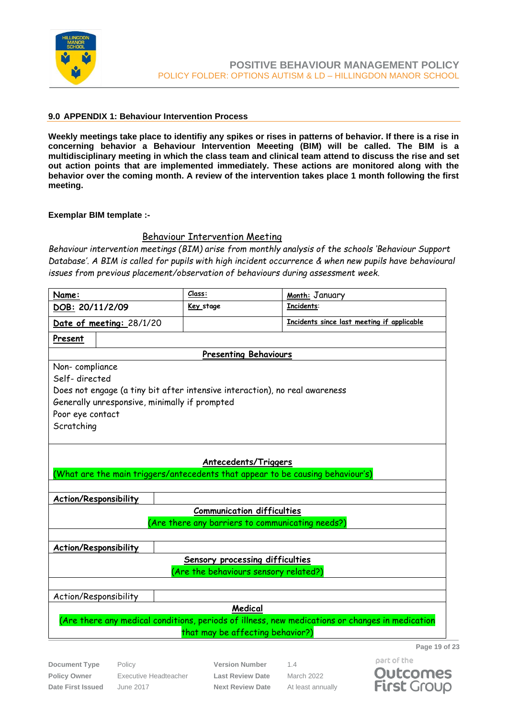

#### <span id="page-18-0"></span>**9.0 APPENDIX 1: Behaviour Intervention Process**

**Weekly meetings take place to identifiy any spikes or rises in patterns of behavior. If there is a rise in concerning behavior a Behaviour Intervention Meeeting (BIM) will be called. The BIM is a multidisciplinary meeting in which the class team and clinical team attend to discuss the rise and set out action points that are implemented immediately. These actions are monitored along with the behavior over the coming month. A review of the intervention takes place 1 month following the first meeting.** 

#### **Exemplar BIM template :-**

#### Behaviour Intervention Meeting

*Behaviour intervention meetings (BIM) arise from monthly analysis of the schools 'Behaviour Support Database'. A BIM is called for pupils with high incident occurrence & when new pupils have behavioural issues from previous placement/observation of behaviours during assessment week.*

| Name:                                                                                           |                                               | Class:                                                                         | Month: January                             |  |
|-------------------------------------------------------------------------------------------------|-----------------------------------------------|--------------------------------------------------------------------------------|--------------------------------------------|--|
| DOB: 20/11/2/09                                                                                 |                                               | Key stage                                                                      | Incidents:                                 |  |
| Date of meeting: 28/1/20                                                                        |                                               |                                                                                | Incidents since last meeting if applicable |  |
| Present                                                                                         |                                               |                                                                                |                                            |  |
|                                                                                                 |                                               | <b>Presenting Behaviours</b>                                                   |                                            |  |
| Non-compliance                                                                                  |                                               |                                                                                |                                            |  |
| Self-directed                                                                                   |                                               |                                                                                |                                            |  |
|                                                                                                 |                                               | Does not engage (a tiny bit after intensive interaction), no real awareness    |                                            |  |
|                                                                                                 | Generally unresponsive, minimally if prompted |                                                                                |                                            |  |
| Poor eye contact                                                                                |                                               |                                                                                |                                            |  |
| Scratching                                                                                      |                                               |                                                                                |                                            |  |
|                                                                                                 |                                               |                                                                                |                                            |  |
|                                                                                                 |                                               | <b>Antecedents/Triggers</b>                                                    |                                            |  |
|                                                                                                 |                                               | (What are the main triggers/antecedents that appear to be causing behaviour's) |                                            |  |
|                                                                                                 |                                               |                                                                                |                                            |  |
|                                                                                                 | Action/Responsibility                         |                                                                                |                                            |  |
|                                                                                                 |                                               | <b>Communication difficulties</b>                                              |                                            |  |
| (Are there any barriers to communicating needs?)                                                |                                               |                                                                                |                                            |  |
|                                                                                                 |                                               |                                                                                |                                            |  |
|                                                                                                 | <b>Action/Responsibility</b>                  |                                                                                |                                            |  |
|                                                                                                 | Sensory processing difficulties               |                                                                                |                                            |  |
| Are the behaviours sensory related?)                                                            |                                               |                                                                                |                                            |  |
|                                                                                                 |                                               |                                                                                |                                            |  |
| Action/Responsibility                                                                           |                                               |                                                                                |                                            |  |
| Medical                                                                                         |                                               |                                                                                |                                            |  |
| (Are there any medical conditions, periods of illness, new medications or changes in medication |                                               |                                                                                |                                            |  |
| that may be affecting behavior?)                                                                |                                               |                                                                                |                                            |  |
|                                                                                                 |                                               |                                                                                | Page 19 of 23                              |  |

**Document Type** Policy **Version Number** 1.4 **Policy Owner** Executive Headteacher **Last Review Date** March 2022 **Date First Issued** June 2017 **Next Review Date** At least annually

part of the **Outcomes First Group**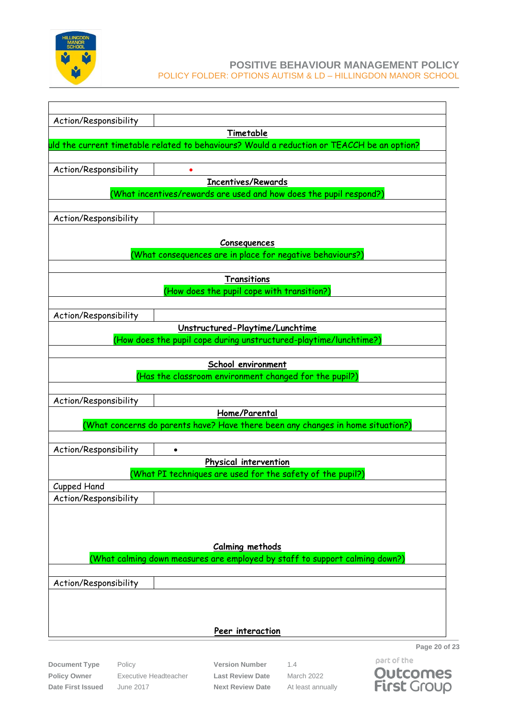

| Action/Responsibility | Timetable                                                                                             |
|-----------------------|-------------------------------------------------------------------------------------------------------|
|                       | uld the current timetable related to behaviours? Would a reduction or TEACCH be an option?            |
|                       |                                                                                                       |
| Action/Responsibility |                                                                                                       |
|                       | <b>Incentives/Rewards</b>                                                                             |
|                       | (What incentives/rewards are used and how does the pupil respond?)                                    |
|                       |                                                                                                       |
| Action/Responsibility |                                                                                                       |
|                       | Consequences                                                                                          |
|                       | (What consequences are in place for negative behaviours?)                                             |
|                       |                                                                                                       |
|                       | <b>Transitions</b>                                                                                    |
|                       | (How does the pupil cope with transition?)                                                            |
|                       |                                                                                                       |
| Action/Responsibility |                                                                                                       |
|                       | Unstructured-Playtime/Lunchtime<br>(How does the pupil cope during unstructured-playtime/lunchtime?)  |
|                       |                                                                                                       |
|                       | School environment                                                                                    |
|                       | (Has the classroom environment changed for the pupil?)                                                |
|                       |                                                                                                       |
| Action/Responsibility |                                                                                                       |
|                       | Home/Parental                                                                                         |
|                       | (What concerns do parents have? Have there been any changes in home situation?)                       |
| Action/Responsibility |                                                                                                       |
|                       | $\bullet$<br>Physical intervention                                                                    |
|                       | (What PI techniques are used for the safety of the pupil?)                                            |
| Cupped Hand           |                                                                                                       |
| Action/Responsibility |                                                                                                       |
|                       |                                                                                                       |
|                       |                                                                                                       |
|                       |                                                                                                       |
|                       | <b>Calming methods</b><br>(What calming down measures are employed by staff to support calming down?) |
|                       |                                                                                                       |
| Action/Responsibility |                                                                                                       |
|                       |                                                                                                       |
|                       |                                                                                                       |
|                       |                                                                                                       |
|                       | Peer interaction                                                                                      |

**Document Type** Policy **Version Number** 1.4 **Policy Owner** Executive Headteacher **Last Review Date** March 2022 **Date First Issued** June 2017 **Next Review Date** At least annually

part of the **Outcomes**<br>**First** Group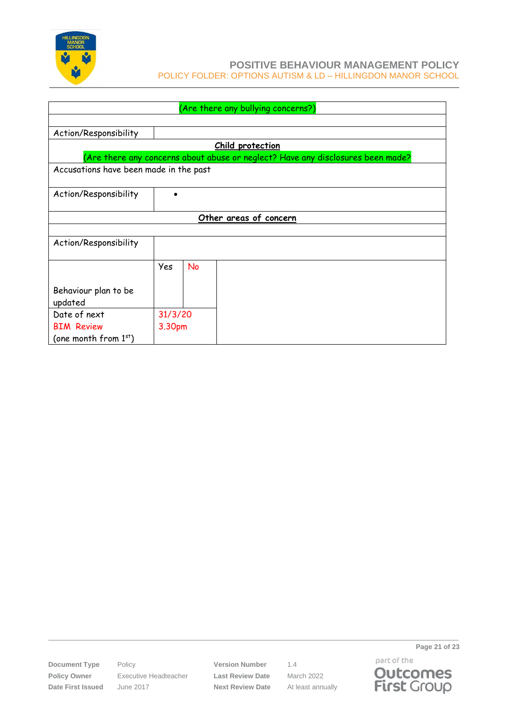

| (Are there any bullying concerns?)     |                        |           |                                                                                 |  |
|----------------------------------------|------------------------|-----------|---------------------------------------------------------------------------------|--|
|                                        |                        |           |                                                                                 |  |
| Action/Responsibility                  |                        |           |                                                                                 |  |
|                                        |                        |           | Child protection                                                                |  |
|                                        |                        |           | (Are there any concerns about abuse or neglect? Have any disclosures been made? |  |
| Accusations have been made in the past |                        |           |                                                                                 |  |
|                                        |                        |           |                                                                                 |  |
| Action/Responsibility                  |                        |           |                                                                                 |  |
|                                        |                        |           |                                                                                 |  |
|                                        | Other areas of concern |           |                                                                                 |  |
|                                        |                        |           |                                                                                 |  |
| Action/Responsibility                  |                        |           |                                                                                 |  |
|                                        |                        |           |                                                                                 |  |
|                                        | Yes                    | <b>No</b> |                                                                                 |  |
|                                        |                        |           |                                                                                 |  |
| Behaviour plan to be                   |                        |           |                                                                                 |  |
| updated                                |                        |           |                                                                                 |  |
| Date of next<br>31/3/20                |                        |           |                                                                                 |  |
| <b>BIM Review</b>                      | 3.30pm                 |           |                                                                                 |  |
| (one month from $1st$ )                |                        |           |                                                                                 |  |

**Policy Owner** Executive Headteacher **Last Review Date** March 2022 **Date First Issued** June 2017 **Next Review Date** At least annually

**Document Type** Policy **Version Number** 1.4



**Page 21 of 23**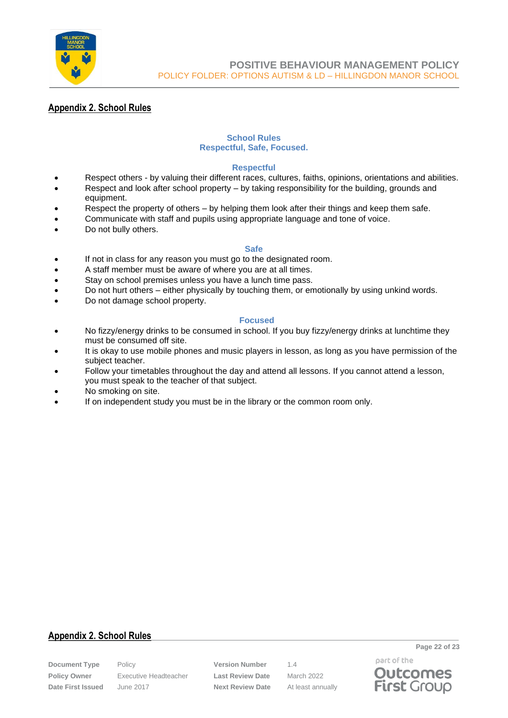

# **Appendix 2. School Rules**

#### **School Rules Respectful, Safe, Focused.**

#### **Respectful**

- Respect others by valuing their different races, cultures, faiths, opinions, orientations and abilities.
- Respect and look after school property by taking responsibility for the building, grounds and equipment.
- Respect the property of others by helping them look after their things and keep them safe.
- Communicate with staff and pupils using appropriate language and tone of voice.
- Do not bully others.

#### **Safe**

- If not in class for any reason you must go to the designated room.
- A staff member must be aware of where you are at all times.
- Stay on school premises unless you have a lunch time pass.
- Do not hurt others either physically by touching them, or emotionally by using unkind words.
- Do not damage school property.

#### **Focused**

- No fizzy/energy drinks to be consumed in school. If you buy fizzy/energy drinks at lunchtime they must be consumed off site.
- It is okay to use mobile phones and music players in lesson, as long as you have permission of the subject teacher.
- Follow your timetables throughout the day and attend all lessons. If you cannot attend a lesson, you must speak to the teacher of that subject.
- No smoking on site.
- If on independent study you must be in the library or the common room only.

# **Appendix 2. School Rules**

**Policy Owner** Executive Headteacher **Last Review Date** March 2022 **Date First Issued** June 2017 **Next Review Date** At least annually

**Document Type** Policy **Version Number** 1.4

part of the **Outcomes First Group** 

**Page 22 of 23**